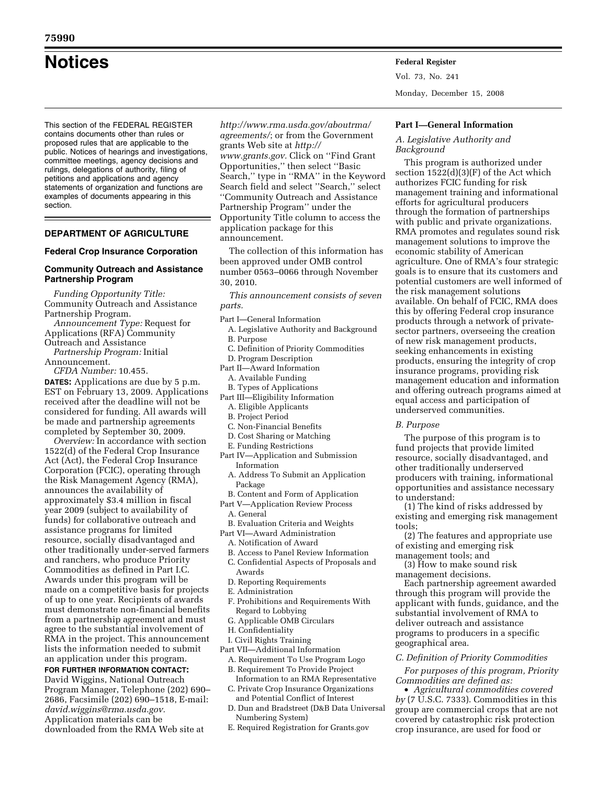# **Notices Federal Register**

This section of the FEDERAL REGISTER contains documents other than rules or proposed rules that are applicable to the public. Notices of hearings and investigations, committee meetings, agency decisions and rulings, delegations of authority, filing of petitions and applications and agency statements of organization and functions are examples of documents appearing in this section.

# **DEPARTMENT OF AGRICULTURE**

#### **Federal Crop Insurance Corporation**

# **Community Outreach and Assistance Partnership Program**

*Funding Opportunity Title:*  Community Outreach and Assistance Partnership Program.

- *Announcement Type:* Request for Applications (RFA) Community Outreach and Assistance
- *Partnership Program:* Initial Announcement.

*CFDA Number:* 10.455.

**DATES:** Applications are due by 5 p.m. EST on February 13, 2009. Applications received after the deadline will not be considered for funding. All awards will be made and partnership agreements completed by September 30, 2009.

*Overview:* In accordance with section 1522(d) of the Federal Crop Insurance Act (Act), the Federal Crop Insurance Corporation (FCIC), operating through the Risk Management Agency (RMA), announces the availability of approximately \$3.4 million in fiscal year 2009 (subject to availability of funds) for collaborative outreach and assistance programs for limited resource, socially disadvantaged and other traditionally under-served farmers and ranchers, who produce Priority Commodities as defined in Part I.C. Awards under this program will be made on a competitive basis for projects of up to one year. Recipients of awards must demonstrate non-financial benefits from a partnership agreement and must agree to the substantial involvement of RMA in the project. This announcement lists the information needed to submit an application under this program.

**FOR FURTHER INFORMATION CONTACT:**  David Wiggins, National Outreach Program Manager, Telephone (202) 690– 2686, Facsimile (202) 690–1518, E-mail: *david.wiggins@rma.usda.gov.*  Application materials can be downloaded from the RMA Web site at

*http://www.rma.usda.gov/aboutrma/ agreements/*; or from the Government grants Web site at *http:// www.grants.gov.* Click on ''Find Grant Opportunities,'' then select ''Basic Search,'' type in ''RMA'' in the Keyword Search field and select ''Search,'' select ''Community Outreach and Assistance Partnership Program'' under the Opportunity Title column to access the application package for this announcement.

The collection of this information has been approved under OMB control number 0563–0066 through November 30, 2010.

*This announcement consists of seven parts.* 

- Part I—General Information
	- A. Legislative Authority and Background B. Purpose
	- C. Definition of Priority Commodities
	- D. Program Description
- Part II—Award Information
	- A. Available Funding
	- B. Types of Applications
- Part III—Eligibility Information
	- A. Eligible Applicants
	- B. Project Period
	- C. Non-Financial Benefits
	- D. Cost Sharing or Matching
	- E. Funding Restrictions
- Part IV—Application and Submission Information
	- A. Address To Submit an Application Package
- B. Content and Form of Application
- Part V—Application Review Process
	- A. General
- B. Evaluation Criteria and Weights Part VI—Award Administration
	- A. Notification of Award
	-
	- B. Access to Panel Review Information C. Confidential Aspects of Proposals and
	- Awards
	- D. Reporting Requirements
	- E. Administration
	- F. Prohibitions and Requirements With Regard to Lobbying
	- G. Applicable OMB Circulars
	- H. Confidentiality
- I. Civil Rights Training
- Part VII—Additional Information
	- A. Requirement To Use Program Logo
	- B. Requirement To Provide Project Information to an RMA Representative
	- C. Private Crop Insurance Organizations and Potential Conflict of Interest
	- D. Dun and Bradstreet (D&B Data Universal Numbering System)
	- E. Required Registration for Grants.gov

Vol. 73, No. 241

Monday, December 15, 2008

#### **Part I—General Information**

### *A. Legislative Authority and Background*

This program is authorized under section 1522(d)(3)(F) of the Act which authorizes FCIC funding for risk management training and informational efforts for agricultural producers through the formation of partnerships with public and private organizations. RMA promotes and regulates sound risk management solutions to improve the economic stability of American agriculture. One of RMA's four strategic goals is to ensure that its customers and potential customers are well informed of the risk management solutions available. On behalf of FCIC, RMA does this by offering Federal crop insurance products through a network of privatesector partners, overseeing the creation of new risk management products, seeking enhancements in existing products, ensuring the integrity of crop insurance programs, providing risk management education and information and offering outreach programs aimed at equal access and participation of underserved communities.

#### *B. Purpose*

The purpose of this program is to fund projects that provide limited resource, socially disadvantaged, and other traditionally underserved producers with training, informational opportunities and assistance necessary to understand:

(1) The kind of risks addressed by existing and emerging risk management tools;

(2) The features and appropriate use of existing and emerging risk

management tools; and

(3) How to make sound risk management decisions.

Each partnership agreement awarded through this program will provide the applicant with funds, guidance, and the substantial involvement of RMA to deliver outreach and assistance programs to producers in a specific geographical area.

#### *C. Definition of Priority Commodities*

*For purposes of this program, Priority Commodities are defined as:* 

• *Agricultural commodities covered by* (7 U.S.C. 7333). Commodities in this group are commercial crops that are not covered by catastrophic risk protection crop insurance, are used for food or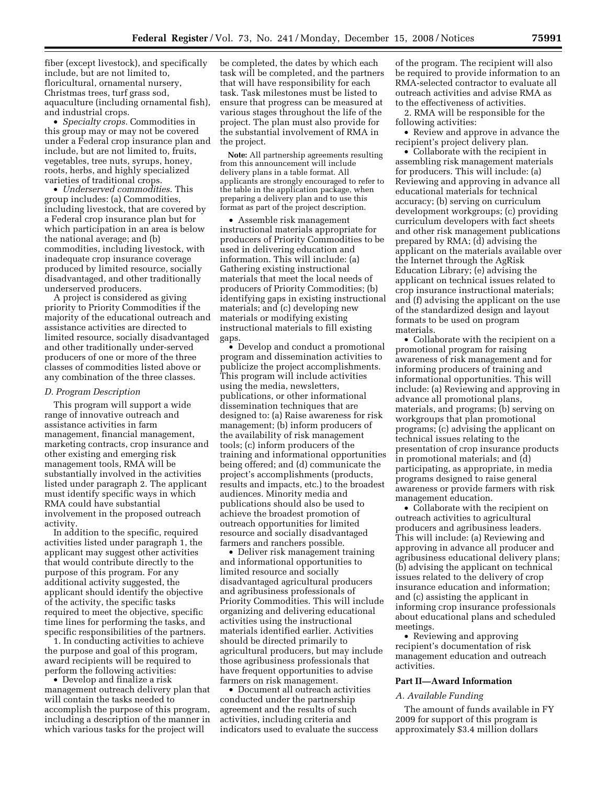fiber (except livestock), and specifically include, but are not limited to, floricultural, ornamental nursery, Christmas trees, turf grass sod, aquaculture (including ornamental fish), and industrial crops.

• *Specialty crops.* Commodities in this group may or may not be covered under a Federal crop insurance plan and include, but are not limited to, fruits, vegetables, tree nuts, syrups, honey, roots, herbs, and highly specialized varieties of traditional crops.

• *Underserved commodities.* This group includes: (a) Commodities, including livestock, that are covered by a Federal crop insurance plan but for which participation in an area is below the national average; and (b) commodities, including livestock, with inadequate crop insurance coverage produced by limited resource, socially disadvantaged, and other traditionally underserved producers.

A project is considered as giving priority to Priority Commodities if the majority of the educational outreach and assistance activities are directed to limited resource, socially disadvantaged and other traditionally under-served producers of one or more of the three classes of commodities listed above or any combination of the three classes.

#### *D. Program Description*

This program will support a wide range of innovative outreach and assistance activities in farm management, financial management, marketing contracts, crop insurance and other existing and emerging risk management tools, RMA will be substantially involved in the activities listed under paragraph 2. The applicant must identify specific ways in which RMA could have substantial involvement in the proposed outreach activity.

In addition to the specific, required activities listed under paragraph 1, the applicant may suggest other activities that would contribute directly to the purpose of this program. For any additional activity suggested, the applicant should identify the objective of the activity, the specific tasks required to meet the objective, specific time lines for performing the tasks, and specific responsibilities of the partners.

1. In conducting activities to achieve the purpose and goal of this program, award recipients will be required to perform the following activities:

• Develop and finalize a risk management outreach delivery plan that will contain the tasks needed to accomplish the purpose of this program, including a description of the manner in which various tasks for the project will

be completed, the dates by which each task will be completed, and the partners that will have responsibility for each task. Task milestones must be listed to ensure that progress can be measured at various stages throughout the life of the project. The plan must also provide for the substantial involvement of RMA in the project.

**Note:** All partnership agreements resulting from this announcement will include delivery plans in a table format. All applicants are strongly encouraged to refer to the table in the application package, when preparing a delivery plan and to use this format as part of the project description.

• Assemble risk management instructional materials appropriate for producers of Priority Commodities to be used in delivering education and information. This will include: (a) Gathering existing instructional materials that meet the local needs of producers of Priority Commodities; (b) identifying gaps in existing instructional materials; and (c) developing new materials or modifying existing instructional materials to fill existing gaps.

• Develop and conduct a promotional program and dissemination activities to publicize the project accomplishments. This program will include activities using the media, newsletters, publications, or other informational dissemination techniques that are designed to: (a) Raise awareness for risk management; (b) inform producers of the availability of risk management tools; (c) inform producers of the training and informational opportunities being offered; and (d) communicate the project's accomplishments (products, results and impacts, etc.) to the broadest audiences. Minority media and publications should also be used to achieve the broadest promotion of outreach opportunities for limited resource and socially disadvantaged farmers and ranchers possible.

• Deliver risk management training and informational opportunities to limited resource and socially disadvantaged agricultural producers and agribusiness professionals of Priority Commodities. This will include organizing and delivering educational activities using the instructional materials identified earlier. Activities should be directed primarily to agricultural producers, but may include those agribusiness professionals that have frequent opportunities to advise farmers on risk management.

• Document all outreach activities conducted under the partnership agreement and the results of such activities, including criteria and indicators used to evaluate the success

of the program. The recipient will also be required to provide information to an RMA-selected contractor to evaluate all outreach activities and advise RMA as to the effectiveness of activities.

2. RMA will be responsible for the following activities:

• Review and approve in advance the recipient's project delivery plan.

• Collaborate with the recipient in assembling risk management materials for producers. This will include: (a) Reviewing and approving in advance all educational materials for technical accuracy; (b) serving on curriculum development workgroups; (c) providing curriculum developers with fact sheets and other risk management publications prepared by RMA; (d) advising the applicant on the materials available over the Internet through the AgRisk Education Library; (e) advising the applicant on technical issues related to crop insurance instructional materials; and (f) advising the applicant on the use of the standardized design and layout formats to be used on program materials.

• Collaborate with the recipient on a promotional program for raising awareness of risk management and for informing producers of training and informational opportunities. This will include: (a) Reviewing and approving in advance all promotional plans, materials, and programs; (b) serving on workgroups that plan promotional programs; (c) advising the applicant on technical issues relating to the presentation of crop insurance products in promotional materials; and (d) participating, as appropriate, in media programs designed to raise general awareness or provide farmers with risk management education.

• Collaborate with the recipient on outreach activities to agricultural producers and agribusiness leaders. This will include: (a) Reviewing and approving in advance all producer and agribusiness educational delivery plans; (b) advising the applicant on technical issues related to the delivery of crop insurance education and information; and (c) assisting the applicant in informing crop insurance professionals about educational plans and scheduled meetings.

• Reviewing and approving recipient's documentation of risk management education and outreach activities.

# **Part II—Award Information**

#### *A. Available Funding*

The amount of funds available in FY 2009 for support of this program is approximately \$3.4 million dollars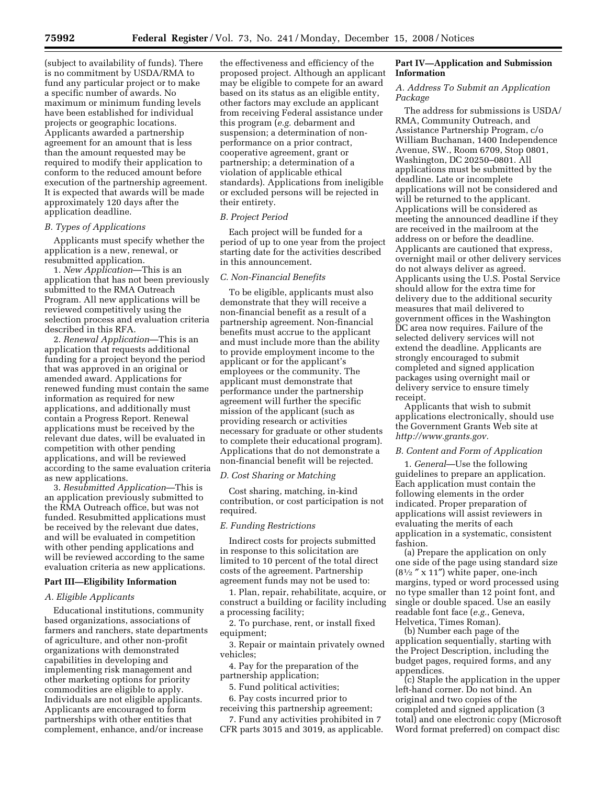(subject to availability of funds). There is no commitment by USDA/RMA to fund any particular project or to make a specific number of awards. No maximum or minimum funding levels have been established for individual projects or geographic locations. Applicants awarded a partnership agreement for an amount that is less than the amount requested may be required to modify their application to conform to the reduced amount before execution of the partnership agreement. It is expected that awards will be made approximately 120 days after the application deadline.

#### *B. Types of Applications*

Applicants must specify whether the application is a new, renewal, or resubmitted application.

1. *New Application*—This is an application that has not been previously submitted to the RMA Outreach Program. All new applications will be reviewed competitively using the selection process and evaluation criteria described in this RFA.

2. *Renewal Application*—This is an application that requests additional funding for a project beyond the period that was approved in an original or amended award. Applications for renewed funding must contain the same information as required for new applications, and additionally must contain a Progress Report. Renewal applications must be received by the relevant due dates, will be evaluated in competition with other pending applications, and will be reviewed according to the same evaluation criteria as new applications.

3. *Resubmitted Application*—This is an application previously submitted to the RMA Outreach office, but was not funded. Resubmitted applications must be received by the relevant due dates, and will be evaluated in competition with other pending applications and will be reviewed according to the same evaluation criteria as new applications.

#### **Part III—Eligibility Information**

#### *A. Eligible Applicants*

Educational institutions, community based organizations, associations of farmers and ranchers, state departments of agriculture, and other non-profit organizations with demonstrated capabilities in developing and implementing risk management and other marketing options for priority commodities are eligible to apply. Individuals are not eligible applicants. Applicants are encouraged to form partnerships with other entities that complement, enhance, and/or increase

the effectiveness and efficiency of the proposed project. Although an applicant may be eligible to compete for an award based on its status as an eligible entity, other factors may exclude an applicant from receiving Federal assistance under this program (*e.g.* debarment and suspension; a determination of nonperformance on a prior contract, cooperative agreement, grant or partnership; a determination of a violation of applicable ethical standards). Applications from ineligible or excluded persons will be rejected in their entirety.

# *B. Project Period*

Each project will be funded for a period of up to one year from the project starting date for the activities described in this announcement.

#### *C. Non-Financial Benefits*

To be eligible, applicants must also demonstrate that they will receive a non-financial benefit as a result of a partnership agreement. Non-financial benefits must accrue to the applicant and must include more than the ability to provide employment income to the applicant or for the applicant's employees or the community. The applicant must demonstrate that performance under the partnership agreement will further the specific mission of the applicant (such as providing research or activities necessary for graduate or other students to complete their educational program). Applications that do not demonstrate a non-financial benefit will be rejected.

#### *D. Cost Sharing or Matching*

Cost sharing, matching, in-kind contribution, or cost participation is not required.

#### *E. Funding Restrictions*

Indirect costs for projects submitted in response to this solicitation are limited to 10 percent of the total direct costs of the agreement. Partnership agreement funds may not be used to:

1. Plan, repair, rehabilitate, acquire, or construct a building or facility including a processing facility;

2. To purchase, rent, or install fixed equipment;

3. Repair or maintain privately owned vehicles;

4. Pay for the preparation of the partnership application;

5. Fund political activities;

6. Pay costs incurred prior to receiving this partnership agreement;

7. Fund any activities prohibited in 7 CFR parts 3015 and 3019, as applicable.

# **Part IV—Application and Submission Information**

#### *A. Address To Submit an Application Package*

The address for submissions is USDA/ RMA, Community Outreach, and Assistance Partnership Program, c/o William Buchanan, 1400 Independence Avenue, SW., Room 6709, Stop 0801, Washington, DC 20250–0801. All applications must be submitted by the deadline. Late or incomplete applications will not be considered and will be returned to the applicant. Applications will be considered as meeting the announced deadline if they are received in the mailroom at the address on or before the deadline. Applicants are cautioned that express, overnight mail or other delivery services do not always deliver as agreed. Applicants using the U.S. Postal Service should allow for the extra time for delivery due to the additional security measures that mail delivered to government offices in the Washington DC area now requires. Failure of the selected delivery services will not extend the deadline. Applicants are strongly encouraged to submit completed and signed application packages using overnight mail or delivery service to ensure timely receipt.

Applicants that wish to submit applications electronically, should use the Government Grants Web site at *http://www.grants.gov.* 

#### *B. Content and Form of Application*

1. *General*—Use the following guidelines to prepare an application. Each application must contain the following elements in the order indicated. Proper preparation of applications will assist reviewers in evaluating the merits of each application in a systematic, consistent fashion.

(a) Prepare the application on only one side of the page using standard size  $(8<sup>1</sup>/<sub>2</sub>$  " x 11") white paper, one-inch margins, typed or word processed using no type smaller than 12 point font, and single or double spaced. Use an easily readable font face (*e.g.*, Geneva, Helvetica, Times Roman).

(b) Number each page of the application sequentially, starting with the Project Description, including the budget pages, required forms, and any appendices.

(c) Staple the application in the upper left-hand corner. Do not bind. An original and two copies of the completed and signed application (3 total) and one electronic copy (Microsoft Word format preferred) on compact disc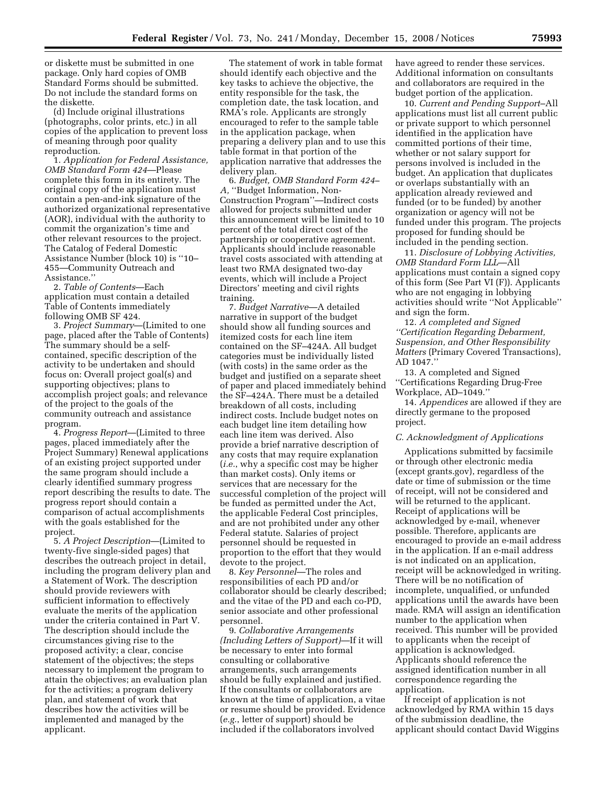or diskette must be submitted in one package. Only hard copies of OMB Standard Forms should be submitted. Do not include the standard forms on the diskette.

(d) Include original illustrations (photographs, color prints, etc.) in all copies of the application to prevent loss of meaning through poor quality reproduction.

1. *Application for Federal Assistance, OMB Standard Form 424*—Please complete this form in its entirety. The original copy of the application must contain a pen-and-ink signature of the authorized organizational representative (AOR), individual with the authority to commit the organization's time and other relevant resources to the project. The Catalog of Federal Domestic Assistance Number (block 10) is ''10– 455—Community Outreach and Assistance.''

2. *Table of Contents*—Each application must contain a detailed Table of Contents immediately following OMB SF 424.

3. *Project Summary*—(Limited to one page, placed after the Table of Contents) The summary should be a selfcontained, specific description of the activity to be undertaken and should focus on: Overall project goal(s) and supporting objectives; plans to accomplish project goals; and relevance of the project to the goals of the community outreach and assistance program.

4. *Progress Report*—(Limited to three pages, placed immediately after the Project Summary) Renewal applications of an existing project supported under the same program should include a clearly identified summary progress report describing the results to date. The progress report should contain a comparison of actual accomplishments with the goals established for the project.

5. *A Project Description*—(Limited to twenty-five single-sided pages) that describes the outreach project in detail, including the program delivery plan and a Statement of Work. The description should provide reviewers with sufficient information to effectively evaluate the merits of the application under the criteria contained in Part V. The description should include the circumstances giving rise to the proposed activity; a clear, concise statement of the objectives; the steps necessary to implement the program to attain the objectives; an evaluation plan for the activities; a program delivery plan, and statement of work that describes how the activities will be implemented and managed by the applicant.

The statement of work in table format should identify each objective and the key tasks to achieve the objective, the entity responsible for the task, the completion date, the task location, and RMA's role. Applicants are strongly encouraged to refer to the sample table in the application package, when preparing a delivery plan and to use this table format in that portion of the application narrative that addresses the delivery plan.

6. *Budget, OMB Standard Form 424– A,* ''Budget Information, Non-Construction Program''—Indirect costs allowed for projects submitted under this announcement will be limited to 10 percent of the total direct cost of the partnership or cooperative agreement. Applicants should include reasonable travel costs associated with attending at least two RMA designated two-day events, which will include a Project Directors' meeting and civil rights training.

7. *Budget Narrative*—A detailed narrative in support of the budget should show all funding sources and itemized costs for each line item contained on the SF–424A. All budget categories must be individually listed (with costs) in the same order as the budget and justified on a separate sheet of paper and placed immediately behind the SF–424A. There must be a detailed breakdown of all costs, including indirect costs. Include budget notes on each budget line item detailing how each line item was derived. Also provide a brief narrative description of any costs that may require explanation (*i.e.*, why a specific cost may be higher than market costs). Only items or services that are necessary for the successful completion of the project will be funded as permitted under the Act, the applicable Federal Cost principles, and are not prohibited under any other Federal statute. Salaries of project personnel should be requested in proportion to the effort that they would devote to the project.

8. *Key Personnel*—The roles and responsibilities of each PD and/or collaborator should be clearly described; and the vitae of the PD and each co-PD, senior associate and other professional personnel.

9. *Collaborative Arrangements (Including Letters of Support)*—If it will be necessary to enter into formal consulting or collaborative arrangements, such arrangements should be fully explained and justified. If the consultants or collaborators are known at the time of application, a vitae or resume should be provided. Evidence (*e.g.*, letter of support) should be included if the collaborators involved

have agreed to render these services. Additional information on consultants and collaborators are required in the budget portion of the application.

10. *Current and Pending Support*–All applications must list all current public or private support to which personnel identified in the application have committed portions of their time, whether or not salary support for persons involved is included in the budget. An application that duplicates or overlaps substantially with an application already reviewed and funded (or to be funded) by another organization or agency will not be funded under this program. The projects proposed for funding should be included in the pending section.

11. *Disclosure of Lobbying Activities, OMB Standard Form LLL*—All applications must contain a signed copy of this form (See Part VI (F)). Applicants who are not engaging in lobbying activities should write ''Not Applicable'' and sign the form.

12. *A completed and Signed ''Certification Regarding Debarment, Suspension, and Other Responsibility Matters* (Primary Covered Transactions), AD 1047.''

13. A completed and Signed ''Certifications Regarding Drug-Free Workplace, AD–1049.''

14. *Appendices* are allowed if they are directly germane to the proposed project.

#### *C. Acknowledgment of Applications*

Applications submitted by facsimile or through other electronic media (except grants.gov), regardless of the date or time of submission or the time of receipt, will not be considered and will be returned to the applicant. Receipt of applications will be acknowledged by e-mail, whenever possible. Therefore, applicants are encouraged to provide an e-mail address in the application. If an e-mail address is not indicated on an application, receipt will be acknowledged in writing. There will be no notification of incomplete, unqualified, or unfunded applications until the awards have been made. RMA will assign an identification number to the application when received. This number will be provided to applicants when the receipt of application is acknowledged. Applicants should reference the assigned identification number in all correspondence regarding the application.

If receipt of application is not acknowledged by RMA within 15 days of the submission deadline, the applicant should contact David Wiggins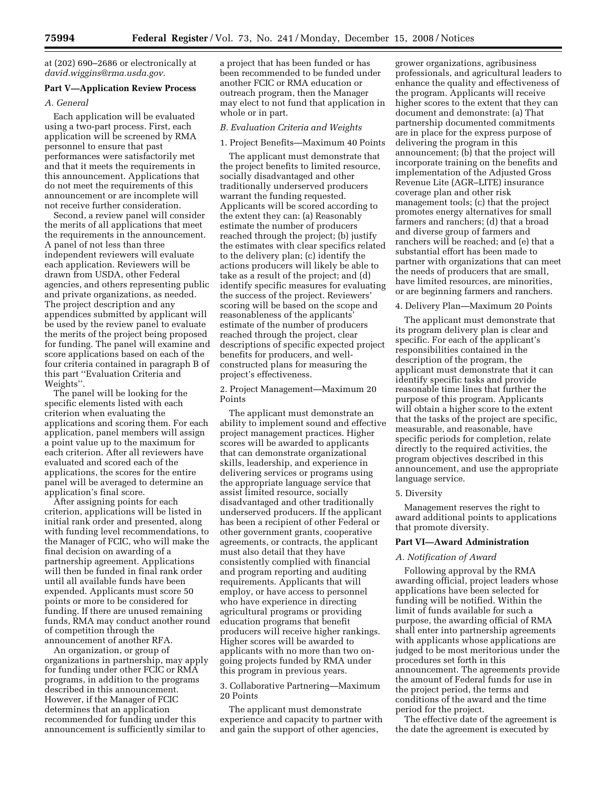at (202) 690–2686 or electronically at *david.wiggins@rma.usda.gov.* 

### **Part V—Application Review Process**

#### *A. General*

Each application will be evaluated using a two-part process. First, each application will be screened by RMA personnel to ensure that past performances were satisfactorily met and that it meets the requirements in this announcement. Applications that do not meet the requirements of this announcement or are incomplete will not receive further consideration.

Second, a review panel will consider the merits of all applications that meet the requirements in the announcement. A panel of not less than three independent reviewers will evaluate each application. Reviewers will be drawn from USDA, other Federal agencies, and others representing public and private organizations, as needed. The project description and any appendices submitted by applicant will be used by the review panel to evaluate the merits of the project being proposed for funding. The panel will examine and score applications based on each of the four criteria contained in paragraph B of this part ''Evaluation Criteria and Weights''.

The panel will be looking for the specific elements listed with each criterion when evaluating the applications and scoring them. For each application, panel members will assign a point value up to the maximum for each criterion. After all reviewers have evaluated and scored each of the applications, the scores for the entire panel will be averaged to determine an application's final score.

After assigning points for each criterion, applications will be listed in initial rank order and presented, along with funding level recommendations, to the Manager of FCIC, who will make the final decision on awarding of a partnership agreement. Applications will then be funded in final rank order until all available funds have been expended. Applicants must score 50 points or more to be considered for funding. If there are unused remaining funds, RMA may conduct another round of competition through the announcement of another RFA.

An organization, or group of organizations in partnership, may apply for funding under other FCIC or RMA programs, in addition to the programs described in this announcement. However, if the Manager of FCIC determines that an application recommended for funding under this announcement is sufficiently similar to

a project that has been funded or has been recommended to be funded under another FCIC or RMA education or outreach program, then the Manager may elect to not fund that application in whole or in part.

#### *B. Evaluation Criteria and Weights*

#### 1. Project Benefits—Maximum 40 Points

The applicant must demonstrate that the project benefits to limited resource, socially disadvantaged and other traditionally underserved producers warrant the funding requested. Applicants will be scored according to the extent they can: (a) Reasonably estimate the number of producers reached through the project; (b) justify the estimates with clear specifics related to the delivery plan; (c) identify the actions producers will likely be able to take as a result of the project; and (d) identify specific measures for evaluating the success of the project. Reviewers' scoring will be based on the scope and reasonableness of the applicants' estimate of the number of producers reached through the project, clear descriptions of specific expected project benefits for producers, and wellconstructed plans for measuring the project's effectiveness.

2. Project Management—Maximum 20 Points

The applicant must demonstrate an ability to implement sound and effective project management practices. Higher scores will be awarded to applicants that can demonstrate organizational skills, leadership, and experience in delivering services or programs using the appropriate language service that assist limited resource, socially disadvantaged and other traditionally underserved producers. If the applicant has been a recipient of other Federal or other government grants, cooperative agreements, or contracts, the applicant must also detail that they have consistently complied with financial and program reporting and auditing requirements. Applicants that will employ, or have access to personnel who have experience in directing agricultural programs or providing education programs that benefit producers will receive higher rankings. Higher scores will be awarded to applicants with no more than two ongoing projects funded by RMA under this program in previous years.

3. Collaborative Partnering—Maximum 20 Points

The applicant must demonstrate experience and capacity to partner with and gain the support of other agencies,

grower organizations, agribusiness professionals, and agricultural leaders to enhance the quality and effectiveness of the program. Applicants will receive higher scores to the extent that they can document and demonstrate: (a) That partnership documented commitments are in place for the express purpose of delivering the program in this announcement; (b) that the project will incorporate training on the benefits and implementation of the Adjusted Gross Revenue Lite (AGR–LITE) insurance coverage plan and other risk management tools; (c) that the project promotes energy alternatives for small farmers and ranchers; (d) that a broad and diverse group of farmers and ranchers will be reached; and (e) that a substantial effort has been made to partner with organizations that can meet the needs of producers that are small, have limited resources, are minorities, or are beginning farmers and ranchers.

#### 4. Delivery Plan—Maximum 20 Points

The applicant must demonstrate that its program delivery plan is clear and specific. For each of the applicant's responsibilities contained in the description of the program, the applicant must demonstrate that it can identify specific tasks and provide reasonable time lines that further the purpose of this program. Applicants will obtain a higher score to the extent that the tasks of the project are specific, measurable, and reasonable, have specific periods for completion, relate directly to the required activities, the program objectives described in this announcement, and use the appropriate language service.

#### 5. Diversity

Management reserves the right to award additional points to applications that promote diversity.

#### **Part VI—Award Administration**

#### *A. Notification of Award*

Following approval by the RMA awarding official, project leaders whose applications have been selected for funding will be notified. Within the limit of funds available for such a purpose, the awarding official of RMA shall enter into partnership agreements with applicants whose applications are judged to be most meritorious under the procedures set forth in this announcement. The agreements provide the amount of Federal funds for use in the project period, the terms and conditions of the award and the time period for the project.

The effective date of the agreement is the date the agreement is executed by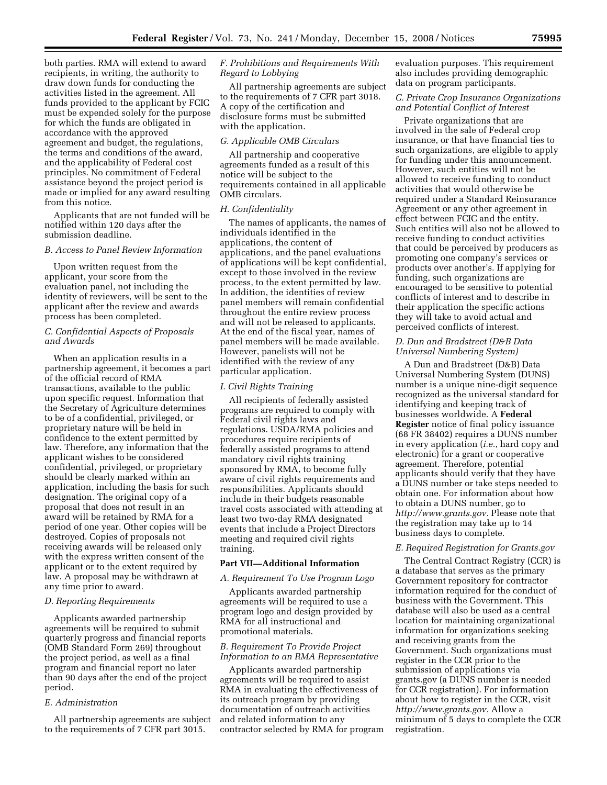both parties. RMA will extend to award recipients, in writing, the authority to draw down funds for conducting the activities listed in the agreement. All funds provided to the applicant by FCIC must be expended solely for the purpose for which the funds are obligated in accordance with the approved agreement and budget, the regulations, the terms and conditions of the award, and the applicability of Federal cost principles. No commitment of Federal assistance beyond the project period is made or implied for any award resulting from this notice.

Applicants that are not funded will be notified within 120 days after the submission deadline.

#### *B. Access to Panel Review Information*

Upon written request from the applicant, your score from the evaluation panel, not including the identity of reviewers, will be sent to the applicant after the review and awards process has been completed.

#### *C. Confidential Aspects of Proposals and Awards*

When an application results in a partnership agreement, it becomes a part of the official record of RMA transactions, available to the public upon specific request. Information that the Secretary of Agriculture determines to be of a confidential, privileged, or proprietary nature will be held in confidence to the extent permitted by law. Therefore, any information that the applicant wishes to be considered confidential, privileged, or proprietary should be clearly marked within an application, including the basis for such designation. The original copy of a proposal that does not result in an award will be retained by RMA for a period of one year. Other copies will be destroyed. Copies of proposals not receiving awards will be released only with the express written consent of the applicant or to the extent required by law. A proposal may be withdrawn at any time prior to award.

#### *D. Reporting Requirements*

Applicants awarded partnership agreements will be required to submit quarterly progress and financial reports (OMB Standard Form 269) throughout the project period, as well as a final program and financial report no later than 90 days after the end of the project period.

#### *E. Administration*

All partnership agreements are subject to the requirements of 7 CFR part 3015.

### *F. Prohibitions and Requirements With Regard to Lobbying*

All partnership agreements are subject to the requirements of 7 CFR part 3018. A copy of the certification and disclosure forms must be submitted with the application.

#### *G. Applicable OMB Circulars*

All partnership and cooperative agreements funded as a result of this notice will be subject to the requirements contained in all applicable OMB circulars.

#### *H. Confidentiality*

The names of applicants, the names of individuals identified in the applications, the content of applications, and the panel evaluations of applications will be kept confidential, except to those involved in the review process, to the extent permitted by law. In addition, the identities of review panel members will remain confidential throughout the entire review process and will not be released to applicants. At the end of the fiscal year, names of panel members will be made available. However, panelists will not be identified with the review of any particular application.

#### *I. Civil Rights Training*

All recipients of federally assisted programs are required to comply with Federal civil rights laws and regulations. USDA/RMA policies and procedures require recipients of federally assisted programs to attend mandatory civil rights training sponsored by RMA, to become fully aware of civil rights requirements and responsibilities. Applicants should include in their budgets reasonable travel costs associated with attending at least two two-day RMA designated events that include a Project Directors meeting and required civil rights training.

#### **Part VII—Additional Information**

#### *A. Requirement To Use Program Logo*

Applicants awarded partnership agreements will be required to use a program logo and design provided by RMA for all instructional and promotional materials.

#### *B. Requirement To Provide Project Information to an RMA Representative*

Applicants awarded partnership agreements will be required to assist RMA in evaluating the effectiveness of its outreach program by providing documentation of outreach activities and related information to any contractor selected by RMA for program evaluation purposes. This requirement also includes providing demographic data on program participants.

# *C. Private Crop Insurance Organizations and Potential Conflict of Interest*

Private organizations that are involved in the sale of Federal crop insurance, or that have financial ties to such organizations, are eligible to apply for funding under this announcement. However, such entities will not be allowed to receive funding to conduct activities that would otherwise be required under a Standard Reinsurance Agreement or any other agreement in effect between FCIC and the entity. Such entities will also not be allowed to receive funding to conduct activities that could be perceived by producers as promoting one company's services or products over another's. If applying for funding, such organizations are encouraged to be sensitive to potential conflicts of interest and to describe in their application the specific actions they will take to avoid actual and perceived conflicts of interest.

#### *D. Dun and Bradstreet (D&B Data Universal Numbering System)*

A Dun and Bradstreet (D&B) Data Universal Numbering System (DUNS) number is a unique nine-digit sequence recognized as the universal standard for identifying and keeping track of businesses worldwide. A **Federal Register** notice of final policy issuance (68 FR 38402) requires a DUNS number in every application (*i.e.*, hard copy and electronic) for a grant or cooperative agreement. Therefore, potential applicants should verify that they have a DUNS number or take steps needed to obtain one. For information about how to obtain a DUNS number, go to *http://www.grants.gov.* Please note that the registration may take up to 14 business days to complete.

#### *E. Required Registration for Grants.gov*

The Central Contract Registry (CCR) is a database that serves as the primary Government repository for contractor information required for the conduct of business with the Government. This database will also be used as a central location for maintaining organizational information for organizations seeking and receiving grants from the Government. Such organizations must register in the CCR prior to the submission of applications via grants.gov (a DUNS number is needed for CCR registration). For information about how to register in the CCR, visit *http://www.grants.gov.* Allow a minimum of 5 days to complete the CCR registration.